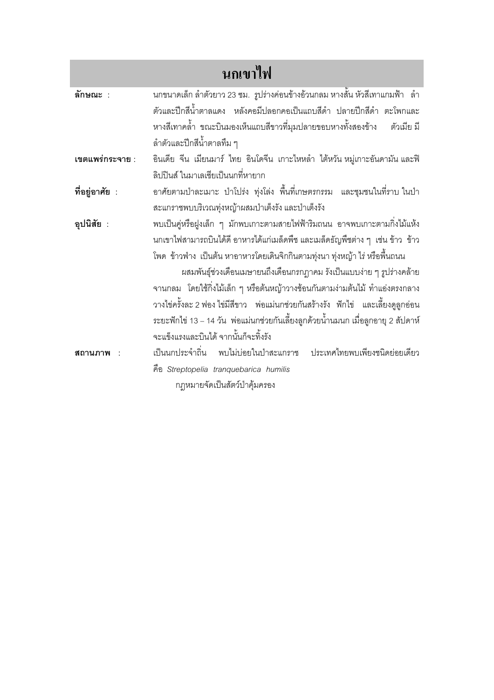| นกเขาไฟ         |                                                                                          |
|-----------------|------------------------------------------------------------------------------------------|
| ลักษณะ :        | นกขนาดเล็ก ลำตัวยาว 23 ซม.  รูปร่างค่อนข้างอ้วนกลม หางสั้น หัวสีเทาแกมฟ้า   ลำ           |
|                 | ตัวและปีกสีน้ำตาลแดง หลังคอมีปลอกคอเป็นแถบสีดำ ปลายปีกสีดำ ตะโพกและ                      |
|                 | หางสีเทาคล้ำ ขณะบินมองเห็นแถบสีขาวที่มุมปลายขอบหางทั้งสองข้าง<br>ตัวเมีย มี              |
|                 | ้ลำตัวและปีกสีน้ำตาลทึม ๆ                                                                |
| เขตแพร่กระจาย : | ้อินเดีย จีน เมียนมาร์ ไทย อินโดจีน เกาะไหหลำ ไต้หวัน หมู่เกาะอันดามัน และฟิ             |
|                 | ลิปปินส์ ในมาเลเซียเป็นนกที่หายาก                                                        |
| ที่อยู่อาศัย :  | อาศัยตามป่าละเมาะ ป่าโปร่ง ทุ่งโล่ง พื้นที่เกษตรกรรม  และชุมชนในที่ราบ ในป่า             |
|                 | สะแกราชพบบริเวณทุ่งหญ้าผสมป่าเต็งรัง และป่าเต็งรัง                                       |
| อุปนิสัย :      | พบเป็นคู่หรือฝูงเล็ก ๆ มักพบเกาะตามสายไฟฟ้าริมถนน อาจพบเกาะตามกิ่งไม้แห้ง                |
|                 | นกเขาไฟสามารถบินได้ดี อาหารได้แก่เมล็ดพืช และเมล็ดธัญพืชต่าง ๆ เช่น ข้าว  ข้าว           |
|                 | โพด  ข้าวฟ่าง  เป็นต้น หาอาหารโดยเดินจิกกินตามทุ่งนา ทุ่งหญ้า ไร่ หรือพื้นถนน            |
|                 | ผสมพันธุ์ช่วงเดือนเมษายนถึงเดือนกรกฎาคม รังเป็นแบบง่าย ๆ รูปร่างคล้าย                    |
|                 | ้จานกลม   โดยใช้กิ่งไม้เล็ก ๆ หรือต้นหญ้าวางซ้อนกันตามง่ามต้นไม้ ทำแอ่งตรงกลาง           |
|                 | วางไข่ครั้งละ 2 ฟอง ไข่มีสีขาว    พ่อแม่นกช่วยกันสร้างรัง   ฟักไข่    และเลี้ยงดูลูกอ่อน |
|                 | ระยะฟักไข่ 13 – 14 วัน  พ่อแม่นกช่วยกันเลี้ยงลูกด้วยน้ำนมนก เมื่อลูกอายุ 2 สัปดาห์       |
|                 | จะแข็งแรงและบินได้ จากนั้นก็จะทิ้งรัง                                                    |
| สถานภาพ         | เป็นนกประจำถิ่น พบไม่บ่อยในป่าสะแกราช ประเทศไทยพบเพียงชนิดย่อยเดียว                      |
|                 | คือ Streptopelia tranquebarica humilis                                                   |
|                 | กฎหมายจัดเป็นสัตว์ป่าคุ้มครอง                                                            |